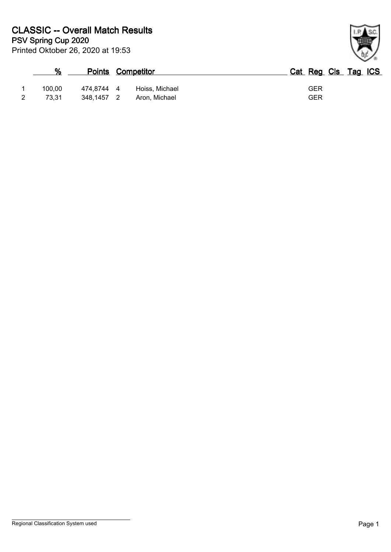| %      |            | <b>Points Competitor</b> | Cat Reg Cls Tag ICS |
|--------|------------|--------------------------|---------------------|
| 100.00 | 474.8744 4 | Hoiss, Michael           | GER                 |
| 73.31  | 348.1457   | Aron, Michael            | GER                 |

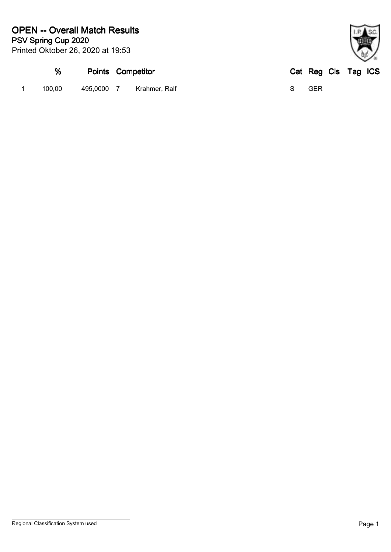| %      | <b>Points Competitor</b> |               | Cat Reg Cls Tag ICS |  |  |
|--------|--------------------------|---------------|---------------------|--|--|
| 100.00 | 495,0000 7               | Krahmer, Ralf | GER                 |  |  |

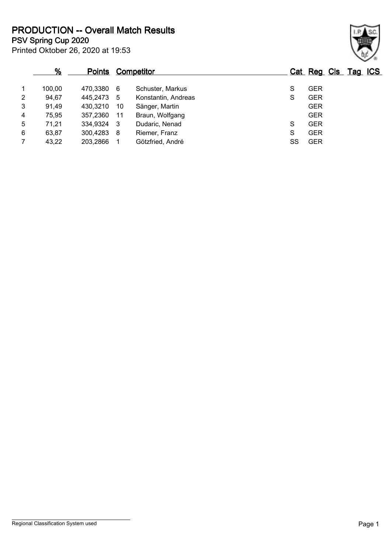**PSV Spring Cup 2020 PRODUCTION -- Overall Match Results**

|                | %      | <b>Points</b> |    | <b>Competitor</b>   |    | Cat Reg Cls Tag ICS |  |
|----------------|--------|---------------|----|---------------------|----|---------------------|--|
| 1              | 100,00 | 470,3380      | -6 | Schuster, Markus    | S  | <b>GER</b>          |  |
| 2              | 94,67  | 445,2473      | 5  | Konstantin, Andreas | S  | <b>GER</b>          |  |
| 3              | 91,49  | 430,3210      | 10 | Sänger, Martin      |    | <b>GER</b>          |  |
| 4              | 75,95  | 357,2360      | 11 | Braun, Wolfgang     |    | <b>GER</b>          |  |
| 5              | 71,21  | 334,9324      | -3 | Dudaric, Nenad      | S  | <b>GER</b>          |  |
| 6              | 63,87  | 300,4283      | 8  | Riemer, Franz       | S  | <b>GER</b>          |  |
| $\overline{7}$ | 43,22  | 203,2866      |    | Götzfried, André    | SS | <b>GER</b>          |  |

Printed Oktober 26, 2020 at 19:53

## Regional Classification System used **Page 1**

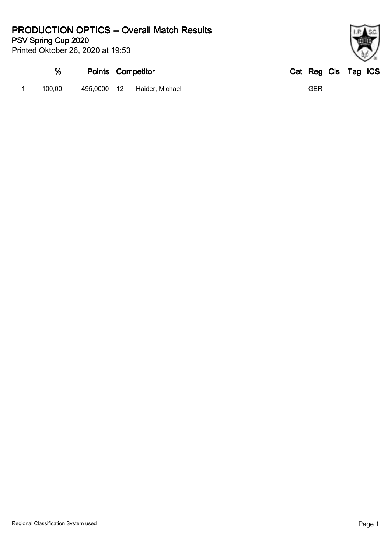**PSV Spring Cup 2020 PRODUCTION OPTICS -- Overall Match Results**

Printed Oktober 26, 2020 at 19:53

|        |             | <b>Points Competitor</b> | Cat Reg Cls Tag ICS |
|--------|-------------|--------------------------|---------------------|
| 100.00 | 495.0000 12 | Haider. Michael          | GER                 |